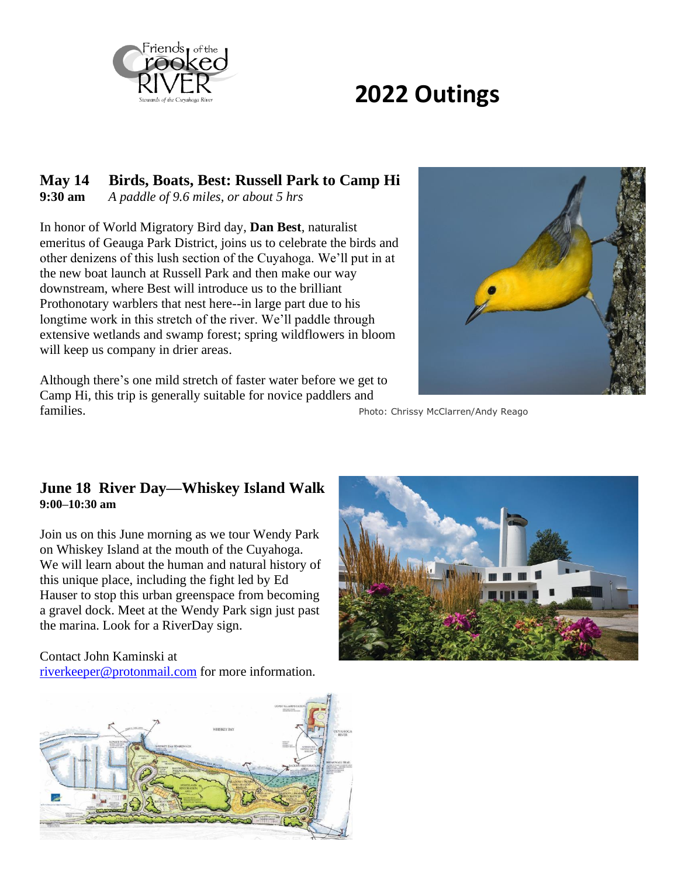

# **2022 Outings**

### **May 14 Birds, Boats, Best: Russell Park to Camp Hi**

**9:30 am** *A paddle of 9.6 miles, or about 5 hrs*

In honor of World Migratory Bird day, **Dan Best**, naturalist emeritus of Geauga Park District, joins us to celebrate the birds and other denizens of this lush section of the Cuyahoga. We'll put in at the new boat launch at Russell Park and then make our way downstream, where Best will introduce us to the brilliant Prothonotary warblers that nest here--in large part due to his longtime work in this stretch of the river. We'll paddle through extensive wetlands and swamp forest; spring wildflowers in bloom will keep us company in drier areas.

Although there's one mild stretch of faster water before we get to Camp Hi, this trip is generally suitable for novice paddlers and families. **Photo: Chrissy McClarren/Andy Reago** 



#### **June 18 River Day—Whiskey Island Walk 9:00–10:30 am**

Join us on this June morning as we tour Wendy Park on Whiskey Island at the mouth of the Cuyahoga. We will learn about the human and natural history of this unique place, including the fight led by Ed Hauser to stop this urban greenspace from becoming a gravel dock. Meet at the Wendy Park sign just past the marina. Look for a RiverDay sign.

### Contact John Kaminski at

[riverkeeper@protonmail.com](mailto:riverkeeper@protonmail.com) for more information.



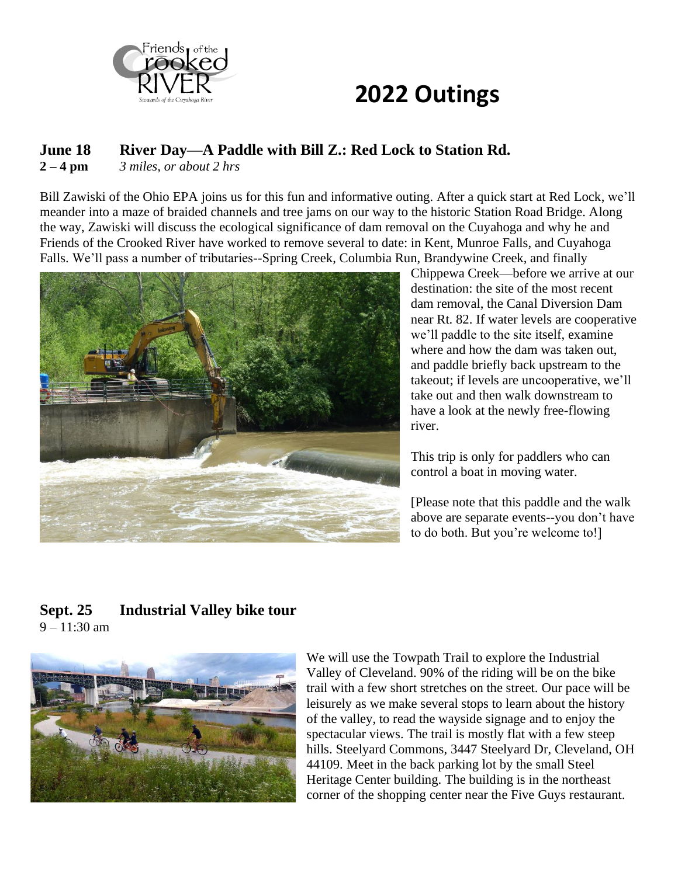

### **2022 Outings**

#### **June 18 River Day—A Paddle with Bill Z.: Red Lock to Station Rd.**

**2 – 4 pm** *3 miles, or about 2 hrs*

Bill Zawiski of the Ohio EPA joins us for this fun and informative outing. After a quick start at Red Lock, we'll meander into a maze of braided channels and tree jams on our way to the historic Station Road Bridge. Along the way, Zawiski will discuss the ecological significance of dam removal on the Cuyahoga and why he and Friends of the Crooked River have worked to remove several to date: in Kent, Munroe Falls, and Cuyahoga Falls. We'll pass a number of tributaries--Spring Creek, Columbia Run, Brandywine Creek, and finally



Chippewa Creek—before we arrive at our destination: the site of the most recent dam removal, the Canal Diversion Dam near Rt. 82. If water levels are cooperative we'll paddle to the site itself, examine where and how the dam was taken out, and paddle briefly back upstream to the takeout; if levels are uncooperative, we'll take out and then walk downstream to have a look at the newly free-flowing river.

This trip is only for paddlers who can control a boat in moving water.

[Please note that this paddle and the walk above are separate events--you don't have to do both. But you're welcome to!]

#### **Sept. 25 Industrial Valley bike tour** 9 – 11:30 am



We will use the Towpath Trail to explore the Industrial Valley of Cleveland. 90% of the riding will be on the bike trail with a few short stretches on the street. Our pace will be leisurely as we make several stops to learn about the history of the valley, to read the wayside signage and to enjoy the spectacular views. The trail is mostly flat with a few steep hills. Steelyard Commons, 3447 Steelyard Dr, Cleveland, OH 44109. Meet in the back parking lot by the small Steel Heritage Center building. The building is in the northeast corner of the shopping center near the Five Guys restaurant.